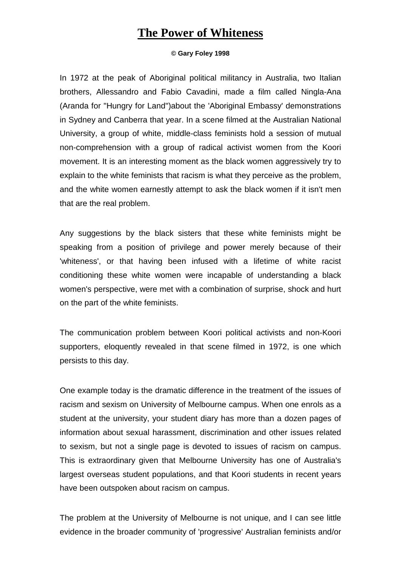## **The Power of Whiteness**

## **© Gary Foley 1998**

In 1972 at the peak of Aboriginal political militancy in Australia, two Italian brothers, Allessandro and Fabio Cavadini, made a film called Ningla-Ana (Aranda for "Hungry for Land")about the 'Aboriginal Embassy' demonstrations in Sydney and Canberra that year. In a scene filmed at the Australian National University, a group of white, middle-class feminists hold a session of mutual non-comprehension with a group of radical activist women from the Koori movement. It is an interesting moment as the black women aggressively try to explain to the white feminists that racism is what they perceive as the problem, and the white women earnestly attempt to ask the black women if it isn't men that are the real problem.

Any suggestions by the black sisters that these white feminists might be speaking from a position of privilege and power merely because of their 'whiteness', or that having been infused with a lifetime of white racist conditioning these white women were incapable of understanding a black women's perspective, were met with a combination of surprise, shock and hurt on the part of the white feminists.

The communication problem between Koori political activists and non-Koori supporters, eloquently revealed in that scene filmed in 1972, is one which persists to this day.

One example today is the dramatic difference in the treatment of the issues of racism and sexism on University of Melbourne campus. When one enrols as a student at the university, your student diary has more than a dozen pages of information about sexual harassment, discrimination and other issues related to sexism, but not a single page is devoted to issues of racism on campus. This is extraordinary given that Melbourne University has one of Australia's largest overseas student populations, and that Koori students in recent years have been outspoken about racism on campus.

The problem at the University of Melbourne is not unique, and I can see little evidence in the broader community of 'progressive' Australian feminists and/or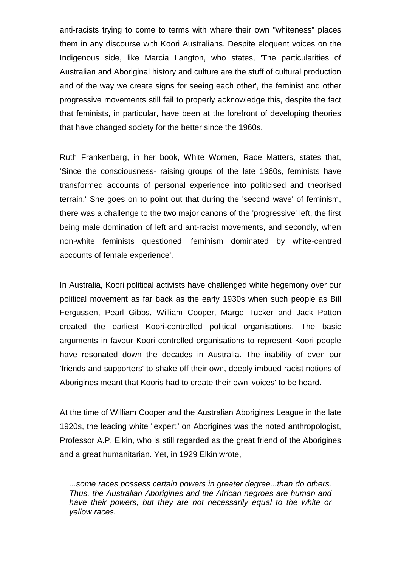anti-racists trying to come to terms with where their own "whiteness" places them in any discourse with Koori Australians. Despite eloquent voices on the Indigenous side, like Marcia Langton, who states, 'The particularities of Australian and Aboriginal history and culture are the stuff of cultural production and of the way we create signs for seeing each other', the feminist and other progressive movements still fail to properly acknowledge this, despite the fact that feminists, in particular, have been at the forefront of developing theories that have changed society for the better since the 1960s.

Ruth Frankenberg, in her book, White Women, Race Matters, states that, 'Since the consciousness- raising groups of the late 1960s, feminists have transformed accounts of personal experience into politicised and theorised terrain.' She goes on to point out that during the 'second wave' of feminism, there was a challenge to the two major canons of the 'progressive' left, the first being male domination of left and ant-racist movements, and secondly, when non-white feminists questioned 'feminism dominated by white-centred accounts of female experience'.

In Australia, Koori political activists have challenged white hegemony over our political movement as far back as the early 1930s when such people as Bill Fergussen, Pearl Gibbs, William Cooper, Marge Tucker and Jack Patton created the earliest Koori-controlled political organisations. The basic arguments in favour Koori controlled organisations to represent Koori people have resonated down the decades in Australia. The inability of even our 'friends and supporters' to shake off their own, deeply imbued racist notions of Aborigines meant that Kooris had to create their own 'voices' to be heard.

At the time of William Cooper and the Australian Aborigines League in the late 1920s, the leading white "expert" on Aborigines was the noted anthropologist, Professor A.P. Elkin, who is still regarded as the great friend of the Aborigines and a great humanitarian. Yet, in 1929 Elkin wrote,

*...some races possess certain powers in greater degree...than do others. Thus, the Australian Aborigines and the African negroes are human and have their powers, but they are not necessarily equal to the white or yellow races.*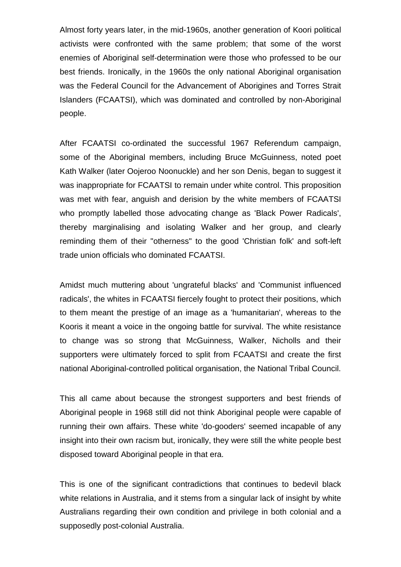Almost forty years later, in the mid-1960s, another generation of Koori political activists were confronted with the same problem; that some of the worst enemies of Aboriginal self-determination were those who professed to be our best friends. Ironically, in the 1960s the only national Aboriginal organisation was the Federal Council for the Advancement of Aborigines and Torres Strait Islanders (FCAATSI), which was dominated and controlled by non-Aboriginal people.

After FCAATSI co-ordinated the successful 1967 Referendum campaign, some of the Aboriginal members, including Bruce McGuinness, noted poet Kath Walker (later Oojeroo Noonuckle) and her son Denis, began to suggest it was inappropriate for FCAATSI to remain under white control. This proposition was met with fear, anguish and derision by the white members of FCAATSI who promptly labelled those advocating change as 'Black Power Radicals', thereby marginalising and isolating Walker and her group, and clearly reminding them of their "otherness" to the good 'Christian folk' and soft-left trade union officials who dominated FCAATSI.

Amidst much muttering about 'ungrateful blacks' and 'Communist influenced radicals', the whites in FCAATSI fiercely fought to protect their positions, which to them meant the prestige of an image as a 'humanitarian', whereas to the Kooris it meant a voice in the ongoing battle for survival. The white resistance to change was so strong that McGuinness, Walker, Nicholls and their supporters were ultimately forced to split from FCAATSI and create the first national Aboriginal-controlled political organisation, the National Tribal Council.

This all came about because the strongest supporters and best friends of Aboriginal people in 1968 still did not think Aboriginal people were capable of running their own affairs. These white 'do-gooders' seemed incapable of any insight into their own racism but, ironically, they were still the white people best disposed toward Aboriginal people in that era.

This is one of the significant contradictions that continues to bedevil black white relations in Australia, and it stems from a singular lack of insight by white Australians regarding their own condition and privilege in both colonial and a supposedly post-colonial Australia.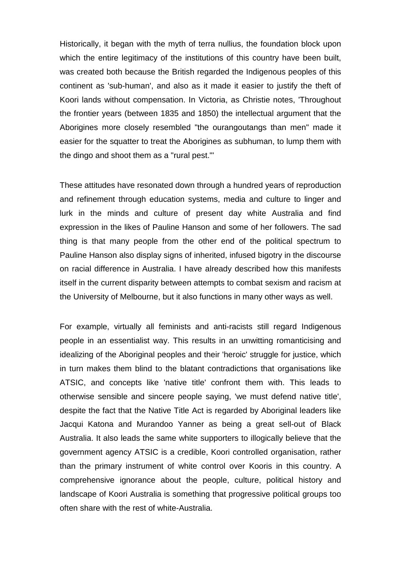Historically, it began with the myth of terra nullius, the foundation block upon which the entire legitimacy of the institutions of this country have been built, was created both because the British regarded the Indigenous peoples of this continent as 'sub-human', and also as it made it easier to justify the theft of Koori lands without compensation. In Victoria, as Christie notes, 'Throughout the frontier years (between 1835 and 1850) the intellectual argument that the Aborigines more closely resembled "the ourangoutangs than men" made it easier for the squatter to treat the Aborigines as subhuman, to lump them with the dingo and shoot them as a "rural pest."'

These attitudes have resonated down through a hundred years of reproduction and refinement through education systems, media and culture to linger and lurk in the minds and culture of present day white Australia and find expression in the likes of Pauline Hanson and some of her followers. The sad thing is that many people from the other end of the political spectrum to Pauline Hanson also display signs of inherited, infused bigotry in the discourse on racial difference in Australia. I have already described how this manifests itself in the current disparity between attempts to combat sexism and racism at the University of Melbourne, but it also functions in many other ways as well.

For example, virtually all feminists and anti-racists still regard Indigenous people in an essentialist way. This results in an unwitting romanticising and idealizing of the Aboriginal peoples and their 'heroic' struggle for justice, which in turn makes them blind to the blatant contradictions that organisations like ATSIC, and concepts like 'native title' confront them with. This leads to otherwise sensible and sincere people saying, 'we must defend native title', despite the fact that the Native Title Act is regarded by Aboriginal leaders like Jacqui Katona and Murandoo Yanner as being a great sell-out of Black Australia. It also leads the same white supporters to illogically believe that the government agency ATSIC is a credible, Koori controlled organisation, rather than the primary instrument of white control over Kooris in this country. A comprehensive ignorance about the people, culture, political history and landscape of Koori Australia is something that progressive political groups too often share with the rest of white-Australia.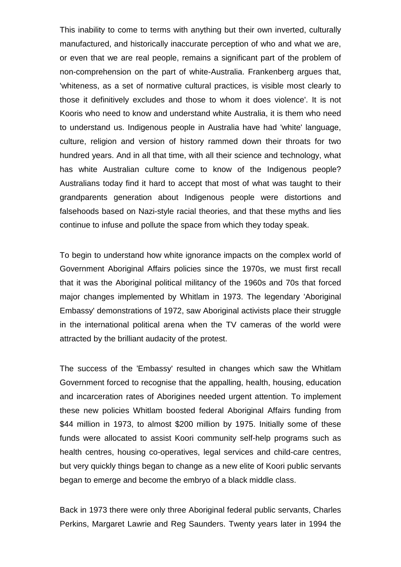This inability to come to terms with anything but their own inverted, culturally manufactured, and historically inaccurate perception of who and what we are, or even that we are real people, remains a significant part of the problem of non-comprehension on the part of white-Australia. Frankenberg argues that, 'whiteness, as a set of normative cultural practices, is visible most clearly to those it definitively excludes and those to whom it does violence'. It is not Kooris who need to know and understand white Australia, it is them who need to understand us. Indigenous people in Australia have had 'white' language, culture, religion and version of history rammed down their throats for two hundred years. And in all that time, with all their science and technology, what has white Australian culture come to know of the Indigenous people? Australians today find it hard to accept that most of what was taught to their grandparents generation about Indigenous people were distortions and falsehoods based on Nazi-style racial theories, and that these myths and lies continue to infuse and pollute the space from which they today speak.

To begin to understand how white ignorance impacts on the complex world of Government Aboriginal Affairs policies since the 1970s, we must first recall that it was the Aboriginal political militancy of the 1960s and 70s that forced major changes implemented by Whitlam in 1973. The legendary 'Aboriginal Embassy' demonstrations of 1972, saw Aboriginal activists place their struggle in the international political arena when the TV cameras of the world were attracted by the brilliant audacity of the protest.

The success of the 'Embassy' resulted in changes which saw the Whitlam Government forced to recognise that the appalling, health, housing, education and incarceration rates of Aborigines needed urgent attention. To implement these new policies Whitlam boosted federal Aboriginal Affairs funding from \$44 million in 1973, to almost \$200 million by 1975. Initially some of these funds were allocated to assist Koori community self-help programs such as health centres, housing co-operatives, legal services and child-care centres, but very quickly things began to change as a new elite of Koori public servants began to emerge and become the embryo of a black middle class.

Back in 1973 there were only three Aboriginal federal public servants, Charles Perkins, Margaret Lawrie and Reg Saunders. Twenty years later in 1994 the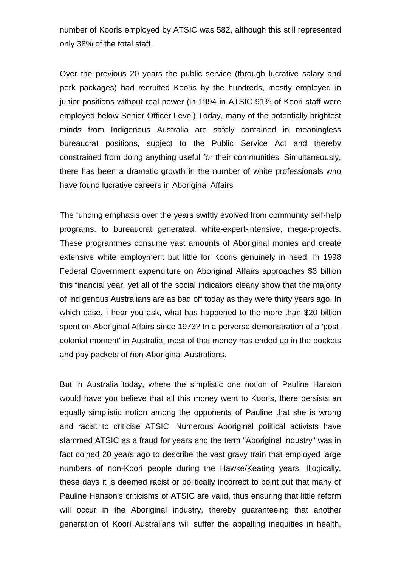number of Kooris employed by ATSIC was 582, although this still represented only 38% of the total staff.

Over the previous 20 years the public service (through lucrative salary and perk packages) had recruited Kooris by the hundreds, mostly employed in junior positions without real power (in 1994 in ATSIC 91% of Koori staff were employed below Senior Officer Level) Today, many of the potentially brightest minds from Indigenous Australia are safely contained in meaningless bureaucrat positions, subject to the Public Service Act and thereby constrained from doing anything useful for their communities. Simultaneously, there has been a dramatic growth in the number of white professionals who have found lucrative careers in Aboriginal Affairs

The funding emphasis over the years swiftly evolved from community self-help programs, to bureaucrat generated, white-expert-intensive, mega-projects. These programmes consume vast amounts of Aboriginal monies and create extensive white employment but little for Kooris genuinely in need. In 1998 Federal Government expenditure on Aboriginal Affairs approaches \$3 billion this financial year, yet all of the social indicators clearly show that the majority of Indigenous Australians are as bad off today as they were thirty years ago. In which case, I hear you ask, what has happened to the more than \$20 billion spent on Aboriginal Affairs since 1973? In a perverse demonstration of a 'postcolonial moment' in Australia, most of that money has ended up in the pockets and pay packets of non-Aboriginal Australians.

But in Australia today, where the simplistic one notion of Pauline Hanson would have you believe that all this money went to Kooris, there persists an equally simplistic notion among the opponents of Pauline that she is wrong and racist to criticise ATSIC. Numerous Aboriginal political activists have slammed ATSIC as a fraud for years and the term "Aboriginal industry" was in fact coined 20 years ago to describe the vast gravy train that employed large numbers of non-Koori people during the Hawke/Keating years. Illogically, these days it is deemed racist or politically incorrect to point out that many of Pauline Hanson's criticisms of ATSIC are valid, thus ensuring that little reform will occur in the Aboriginal industry, thereby guaranteeing that another generation of Koori Australians will suffer the appalling inequities in health,